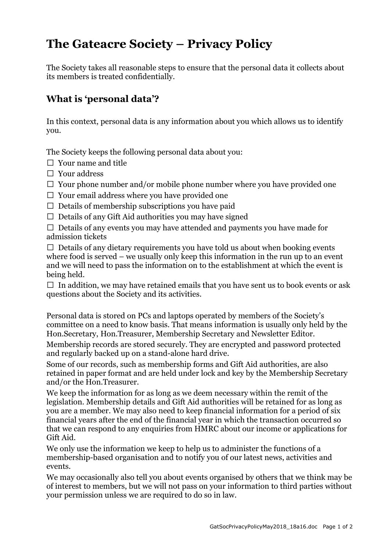## The Gateacre Society – Privacy Policy

The Society takes all reasonable steps to ensure that the personal data it collects about its members is treated confidentially.

## What is 'personal data'?

In this context, personal data is any information about you which allows us to identify you.

The Society keeps the following personal data about you:

- $\Box$  Your name and title
- Your address
- $\Box$  Your phone number and/or mobile phone number where you have provided one
- $\Box$  Your email address where you have provided one
- $\Box$  Details of membership subscriptions you have paid
- $\Box$  Details of any Gift Aid authorities you may have signed

 $\Box$  Details of any events you may have attended and payments you have made for admission tickets

 $\Box$  Details of any dietary requirements you have told us about when booking events where food is served – we usually only keep this information in the run up to an event and we will need to pass the information on to the establishment at which the event is being held.

 $\Box$  In addition, we may have retained emails that you have sent us to book events or ask questions about the Society and its activities.

Personal data is stored on PCs and laptops operated by members of the Society's committee on a need to know basis. That means information is usually only held by the Hon.Secretary, Hon.Treasurer, Membership Secretary and Newsletter Editor.

Membership records are stored securely. They are encrypted and password protected and regularly backed up on a stand-alone hard drive.

Some of our records, such as membership forms and Gift Aid authorities, are also retained in paper format and are held under lock and key by the Membership Secretary and/or the Hon.Treasurer.

We keep the information for as long as we deem necessary within the remit of the legislation. Membership details and Gift Aid authorities will be retained for as long as you are a member. We may also need to keep financial information for a period of six financial years after the end of the financial year in which the transaction occurred so that we can respond to any enquiries from HMRC about our income or applications for Gift Aid.

We only use the information we keep to help us to administer the functions of a membership-based organisation and to notify you of our latest news, activities and events.

We may occasionally also tell you about events organised by others that we think may be of interest to members, but we will not pass on your information to third parties without your permission unless we are required to do so in law.